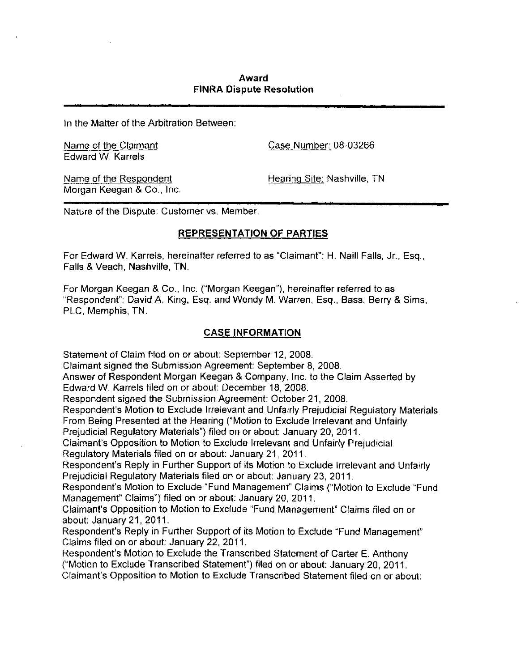# **Award FINRA Dispute Resolution**

In the Matter of the Arbitration Between:

Edward W. Karrels

Name of the Claimant Case Number: 08-03266

Morgan Keegan & Co., Inc.

Name of the Respondent **Hearing Site: Nashville, TN** 

Nature of the Dispute: Customer vs. Member.

# **REPRESENTATION OF PARTIES**

For Edward W. Karrels, hereinafter referred to as "Claimant": H. Naill Falls, Jr., Esq., Falls & Veach, Nashville, TN.

For Morgan Keegan & Co., Inc. ("Morgan Keegan"), hereinafter referred to as "Respondent": David A. King, Esq. and Wendy M. Warren, Esq., Bass, Berry & Sims, PLC, Memphis, TN.

# **CASE INFORMATION**

Statement of Claim filed on or about: September 12, 2008.

Claimant signed the Submission Agreement: September 8, 2008.

Answer of Respondent Morgan Keegan & Company, Inc. to the Claim Asserted by Edward W. Karrels filed on or about: December 18, 2008.

Respondent signed the Submission Agreement: October 21, 2008.

Respondent's Motion to Exclude Irrelevant and Unfairly Prejudicial Regulatory Materials From Being Presented at the Hearing ("Motion to Exclude Irrelevant and Unfairly Prejudicial Regulatory Materials") filed on or about: January 20, 2011.

Claimant's Opposition to Motion to Exclude Irrelevant and Unfairly Prejudicial Regulatory Materials filed on or about: January 21, 2011.

Respondent's Reply in Further Support of its Motion to Exclude Irrelevant and Unfairly Prejudicial Regulatory Materials filed on or about: January 23, 2011.

Respondent's Motion to Exclude "Fund Management" Claims ("Motion to Exclude "Fund Management" Claims") filed on or about: January 20, 2011.

Claimant's Opposition to Motion to Exclude "Fund Management" Claims filed on or about: January 21, 2011.

Respondent's Reply in Further Support of its Motion to Exclude "Fund Management" Claims filed on or about: January 22, 2011.

Respondent's Motion to Exclude the Transcribed Statement of Carter E. Anthony ("Motion to Exclude Transcribed Statement") filed on or about: January 20, 2011. Claimant's Opposition to Motion to Exclude Transcribed Statement filed on or about: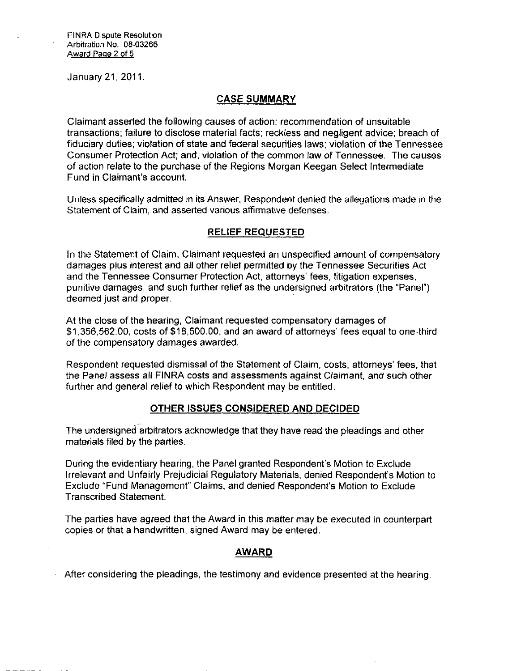FINRA Dispute Resolution Arbitration No. 08-03266 Award Page 2 of 5

January 21, 2011.

# **CASE SUMMARY**

Claimant asserted the following causes of action: recommendation of unsuitable transactions; failure to disclose material facts; reckless and negligent advice; breach of fiduciary duties; violation of state and federal securities laws; violation of the Tennessee Consumer Protection Act; and, violation of the common law of Tennessee. The causes of action relate to the purchase of the Regions Morgan Keegan Select Intermediate Fund in Claimant's account.

Unless specifically admitted in its Answer, Respondent denied the allegations made in the Statement of Claim, and asserted various affirmative defenses.

# **RELIEF REQUESTED**

In the Statement of Claim, Claimant requested an unspecified amount of compensatory damages plus interest and all other relief permitted by the Tennessee Securities Act and the Tennessee Consumer Protection Act, attorneys' fees, litigation expenses, punitive damages, and such further relief as the undersigned arbitrators (the "Panel") deemed just and proper.

At the close of the hearing, Claimant requested compensatory damages of \$1,356,562.00, costs of \$18,500.00, and an award of attorneys' fees equal to one-third of the compensatory damages awarded.

Respondent requested dismissal of the Statement of Claim, costs, attorneys' fees, that the Panel assess all FINRA costs and assessments against Claimant, and such other further and general relief to which Respondent may be entitled.

## **OTHER ISSUES CONSIDERED AND DECIDED**

The undersigned arbitrators acknowledge that they have read the pleadings and other materials filed by the parties.

During the evidentiary hearing, the Panel granted Respondent's Motion to Exclude Irrelevant and Unfairly Prejudicial Regulatory Materials, denied Respondent's Motion to Exclude "Fund Management" Claims, and denied Respondent's Motion to Exclude Transcribed Statement.

The parties have agreed that the Award in this matter may be executed in counterpart copies or that a handwritten, signed Award may be entered.

# **AWARD**

After considering the pleadings, the testimony and evidence presented at the hearing.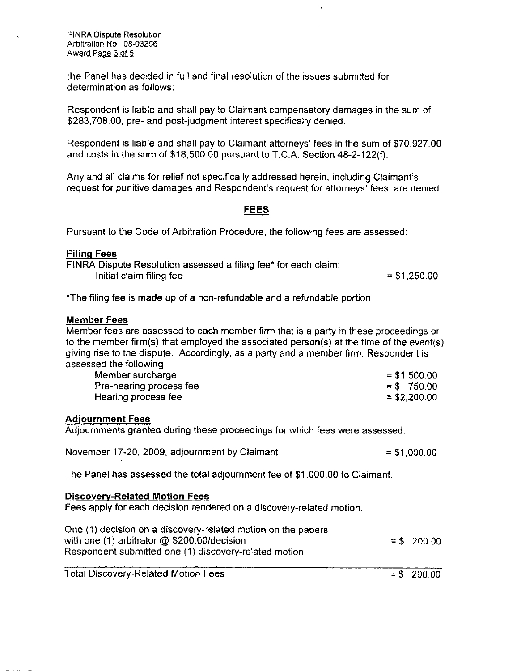FINRA Dispute Resolution Arbitration No. 08-03266 Award Page 3 of 5

the Panel has decided in full and final resolution of the issues submitted for determination as follows:

Respondent is liable and shall pay to Claimant compensatory damages in the sum of \$283,708.00, pre- and post-judgment interest specifically denied.

Respondent is liable and shall pay to Claimant attorneys' fees in the sum of \$70,927.00 and costs in the sum of \$18,500.00 pursuant to T.C.A. Section 48-2-122(f).

Any and all claims for relief not specifically addressed herein, including Claimant's request for punitive damages and Respondent's request for attorneys' fees, are denied.

# **FEES**

**Pursuant to the Code of Arbitration Procedure, the following fees are assessed:** 

#### **Filing Fees**

| FINRA Dispute Resolution assessed a filing fee* for each claim: |               |
|-----------------------------------------------------------------|---------------|
| Initial claim filing fee                                        | $= $1,250.00$ |

\*The filing fee is made up of a non-refundable and a refundable portion.

#### **Member Fees**

Member fees are assessed to each member firm that is a party in these proceedings or to the member firm(s) that employed the associated person(s) at the time of the event(s) giving rise to the dispute. Accordingly, as a party and a member firm, Respondent is assessed the following:

| Member surcharge        | $=$ \$1,500.00 |
|-------------------------|----------------|
| Pre-hearing process fee | $=$ \$ 750.00  |
| Hearing process fee     | $=$ \$2,200.00 |

#### **Adjournment Fees**

Adjournments granted during these proceedings for which fees were assessed:  $A$  and the se proceeding these proceedings for which fees were assessed:  $\mathcal{A}$ 

| November 17-20, 2009, adjournment by Claimant | $=$ \$1,000.00 |
|-----------------------------------------------|----------------|
|                                               |                |

**The Panel has assessed the total adjournment fee of \$1,000.00 to Claimant.** 

**Discovery-Related Motion Fees** 

| One (1) decision on a discovery-related motion on the papers |               |
|--------------------------------------------------------------|---------------|
| with one $(1)$ arbitrator $@$ \$200.00/decision              | $=$ \$ 200.00 |
| Respondent submitted one (1) discovery-related motion        |               |
|                                                              |               |

Total Discovery-Related Motion Fees

 $= $ 200.00$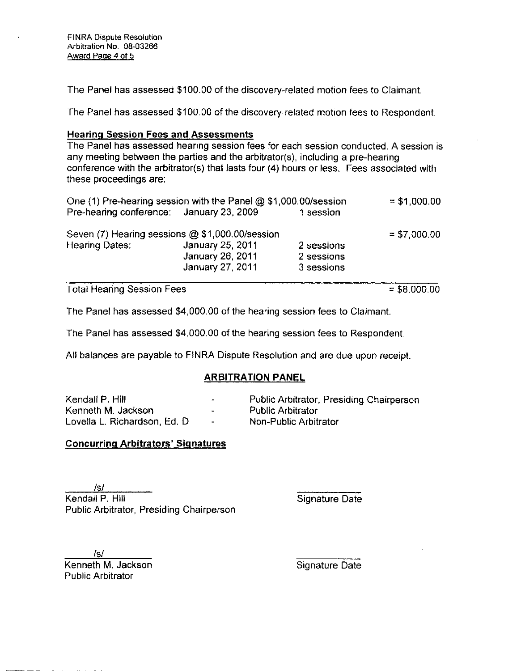The Panel has assessed \$100.00 of the discovery-related motion fees to Claimant

The Panel has assessed \$100.00 of the discovery-related motion fees to Respondent.

### Hearing Session Fees and Assessments

The Panel has assessed hearing session fees for each session conducted. A session is any meeting between the parties and the arbitrator(s), including a pre-hearing conference with the arbitrator(s) that lasts four (4) hours or less. Fees associated with these proceedings are:

| One (1) Pre-hearing session with the Panel $@$ \$1,000.00/session |                  |            | $= $1,000.00$ |
|-------------------------------------------------------------------|------------------|------------|---------------|
| Pre-hearing conference: January 23, 2009                          |                  | 1 session  |               |
| Seven (7) Hearing sessions @ \$1,000.00/session                   |                  |            | $= $7,000.00$ |
| <b>Hearing Dates:</b>                                             | January 25, 2011 | 2 sessions |               |
|                                                                   | January 26, 2011 | 2 sessions |               |
|                                                                   | January 27, 2011 | 3 sessions |               |

Total Hearing Session Fees  $= $8,000.00$ 

The Panel has assessed \$4,000.00 of the hearing session fees to Claimant.

The Panel has assessed \$4,000.00 of the hearing session fees to Respondent.

All balances are payable to FINRA Dispute Resolution and are due upon receipt.

## **ARBITRATION PANEL**

| Kendall P. Hill               | $\bullet$                | Public Arbitrator, Presiding Chairperson |
|-------------------------------|--------------------------|------------------------------------------|
| Kenneth M. Jackson            | $\overline{\phantom{0}}$ | <b>Public Arbitrator</b>                 |
| Lovella L. Richardson, Ed. D. | $\sim$                   | Non-Public Arbitrator                    |

## **Concurring Arbitrators' Signatures**

/s/ Kendall P. Hill Signature Date Public Arbitrator, Presiding Chairperson

/s/ Kenneth M. Jackson Signature Date Public Arbitrator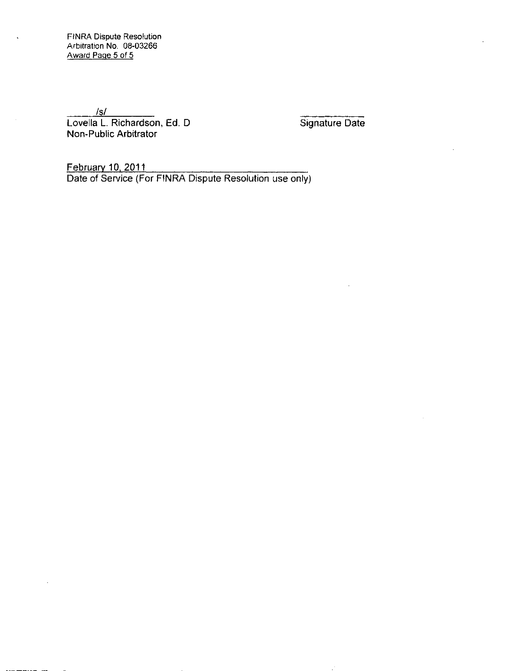FINRA Dispute Resolution Arbitration No. 08-03266 Award Page 5 of 5

*Is/* 

Lovella L. Richardson, Ed. D Signature Date Non-Public Arbitrator

February 10. 2011 Date of Service (For FINRA Dispute Resolution use only)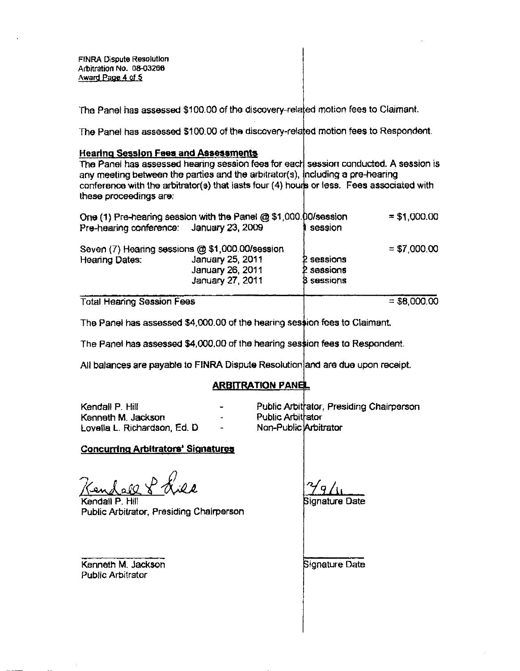FINRA Dispute Resolution Arbitration No. 08-03266 Award Page 4 of 5

The Panel has assessed \$100.00 of the discovery-related motion fees to Claimant.

The Panel has assessed \$100.00 of the discovery-related motion fees to Respondent.

### **Hearing Session Feea and Aaseasmenta**

The Panel has assessed hearing session fees for each session conducted. A session is any meeting between the parties and the arbitrator(s), ncluding a pre-fiearing conference with the arbitrator(3) that lasts four (4) hourjs or less. Fees associated with these proceedings are;

| Pre-hearing conference: January 23, 2009<br>session                                                                                                                            |               |
|--------------------------------------------------------------------------------------------------------------------------------------------------------------------------------|---------------|
| Seven (7) Hearing sessions @ \$1,000.00/session<br>January 25, 2011<br>2 sessions<br>Hearing Dates:<br>January 26, 2011<br>2 sessions<br>January 27, 2011<br><b>8</b> sessions | $= $7,000.00$ |

Total Hearing Session Fees =  $\frac{1}{2}$  = \$8,000.00

The Panel has assessed \$4,000.00 of the hearing session fees to Claimant.

The Panel has assessed \$4,000.00 of the hearing session fees to Respondent.

All balances are payable to FINRA Dispute Resolution and are due upon receipt.

# **ARBITRATION PANEL**

Kendall P. Hill Kenneth M. Jackson Lovella L. Richardson, Ed. D

Public Arbitrator, Presiding Chairperson Public Arbitrator

Non-Publlc Arbitrator

#### **Concurring Arbitrators\* Signatures**

Kendall P. Hill Public Arbitrator, Presiding Chairperson

Kenneth M. Jackson Public Arbitrator

Signature Date **iL** 

Signature Date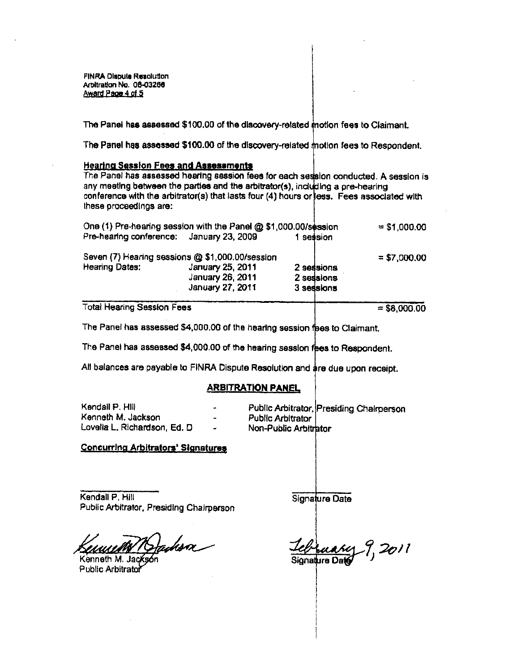**FINRA Dispute Resolution Arbitration No. 08-03266 Award Page 4 of 5** 

**The Panel has assessed \$100.00 of the discovery-related motion fees to ClaimanL** 

**The Panel has assessed \$100.00 of the discovery-related motion fees to Respondent.** 

#### **Hearing Session Fees and Aasesaments**

**The Panel has assessed hearing session fees for each sesjslon conducted. A session is any meeting between the parties and the arbitrator(s), including a pre-hearing conference with the arbitrator(s) that lasts four (4) fiours or ess. Fees associated with these proceedings are:** 

| Pre-hearing conference: January 23, 2009                          | One (1) Pre-hearing session with the Panel @ \$1,000.00/session | session                                | $= $1,000.00$ |
|-------------------------------------------------------------------|-----------------------------------------------------------------|----------------------------------------|---------------|
| Seven (7) Hearing sessions @ \$1,000.00/session<br>Hearing Dates: | January 25, 2011<br>January 26, 2011<br>January 27, 2011        | 2 sessions<br>2 sessions<br>3 sessions | $= $7,000.00$ |
| <b>Total Hearing Session Fees</b>                                 |                                                                 |                                        | $= $8,000.00$ |

The Panel has assessed \$4,000.00 of the hearing session faes to Claimant.

The Panel has assessed \$4,000.00 of the hearing session fees to Respondent.

All balances are payable to FINRA Dispute Resolution and are due upon receipt.

#### **ARBITRATION PANEL**

**Kendall P. Hill Kenneth M. Jackson Lovella L. Richardson, Ed. D** 

**Public Arbitrator. Presiding Chairperson Public Arbitrator** 

**Non-Public Arbltrjator** 

**Concurring Arbitrators' Signatures** 

**Kendall P. Hill Public Arbitrator, Presiding Chairperson** 

**Kenneth M. Public Arbitrato** 

**Signature Date** 

**-20 n**  Signa**t**ure Dat